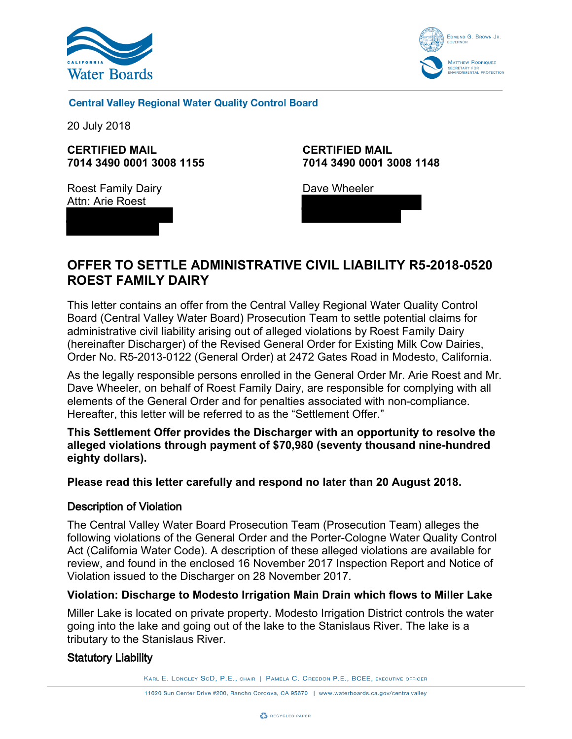



**Central Valley Regional Water Quality Control Board** 

20 July 2018

**CERTIFIED MAIL 7014 3490 0001 3008 1155**

Roest Family Dairy Attn: Arie Roest

**CERTIFIED MAIL 7014 3490 0001 3008 1148**

Dave Wheeler

# **OFFER TO SETTLE ADMINISTRATIVE CIVIL LIABILITY R5-2018-0520 ROEST FAMILY DAIRY**

This letter contains an offer from the Central Valley Regional Water Quality Control Board (Central Valley Water Board) Prosecution Team to settle potential claims for administrative civil liability arising out of alleged violations by Roest Family Dairy (hereinafter Discharger) of the Revised General Order for Existing Milk Cow Dairies, Order No. R5-2013-0122 (General Order) at 2472 Gates Road in Modesto, California.

As the legally responsible persons enrolled in the General Order Mr. Arie Roest and Mr. Dave Wheeler, on behalf of Roest Family Dairy, are responsible for complying with all elements of the General Order and for penalties associated with non-compliance. Hereafter, this letter will be referred to as the "Settlement Offer."

**This Settlement Offer provides the Discharger with an opportunity to resolve the alleged violations through payment of \$70,980 (seventy thousand nine-hundred eighty dollars).** 

**Please read this letter carefully and respond no later than 20 August 2018.**

### Description of Violation

The Central Valley Water Board Prosecution Team (Prosecution Team) alleges the following violations of the General Order and the Porter-Cologne Water Quality Control Act (California Water Code). A description of these alleged violations are available for review, and found in the enclosed 16 November 2017 Inspection Report and Notice of Violation issued to the Discharger on 28 November 2017.

### **Violation: Discharge to Modesto Irrigation Main Drain which flows to Miller Lake**

Miller Lake is located on private property. Modesto Irrigation District controls the water going into the lake and going out of the lake to the Stanislaus River. The lake is a tributary to the Stanislaus River.

### Statutory Liability

KARL E. LONGLEY SCD, P.E., CHAIR | PAMELA C. CREEDON P.E., BCEE, EXECUTIVE OFFICER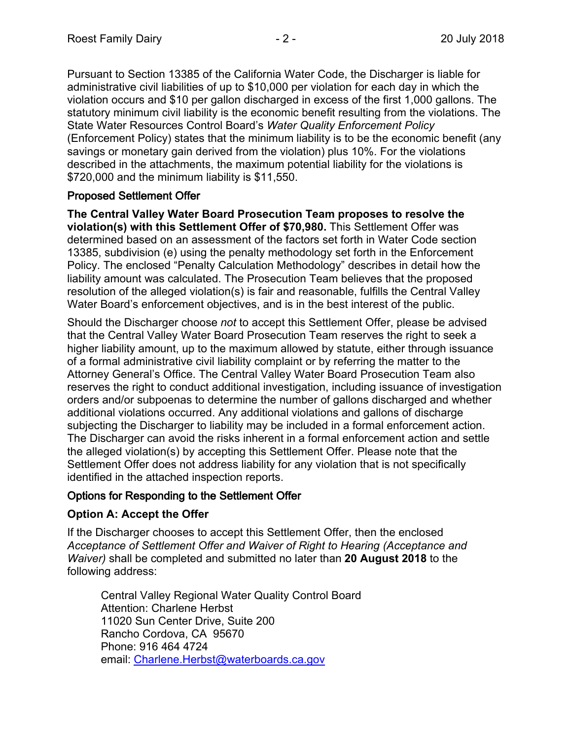Pursuant to Section 13385 of the California Water Code, the Discharger is liable for administrative civil liabilities of up to \$10,000 per violation for each day in which the violation occurs and \$10 per gallon discharged in excess of the first 1,000 gallons. The statutory minimum civil liability is the economic benefit resulting from the violations. The State Water Resources Control Board's *Water Quality Enforcement Policy* (Enforcement Policy) states that the minimum liability is to be the economic benefit (any savings or monetary gain derived from the violation) plus 10%. For the violations described in the attachments, the maximum potential liability for the violations is \$720,000 and the minimum liability is \$11,550.

### Proposed Settlement Offer

**The Central Valley Water Board Prosecution Team proposes to resolve the violation(s) with this Settlement Offer of \$70,980.** This Settlement Offer was determined based on an assessment of the factors set forth in Water Code section 13385, subdivision (e) using the penalty methodology set forth in the Enforcement Policy. The enclosed "Penalty Calculation Methodology" describes in detail how the liability amount was calculated. The Prosecution Team believes that the proposed resolution of the alleged violation(s) is fair and reasonable, fulfills the Central Valley Water Board's enforcement objectives, and is in the best interest of the public.

Should the Discharger choose *not* to accept this Settlement Offer, please be advised that the Central Valley Water Board Prosecution Team reserves the right to seek a higher liability amount, up to the maximum allowed by statute, either through issuance of a formal administrative civil liability complaint or by referring the matter to the Attorney General's Office. The Central Valley Water Board Prosecution Team also reserves the right to conduct additional investigation, including issuance of investigation orders and/or subpoenas to determine the number of gallons discharged and whether additional violations occurred. Any additional violations and gallons of discharge subjecting the Discharger to liability may be included in a formal enforcement action. The Discharger can avoid the risks inherent in a formal enforcement action and settle the alleged violation(s) by accepting this Settlement Offer. Please note that the Settlement Offer does not address liability for any violation that is not specifically identified in the attached inspection reports.

## Options for Responding to the Settlement Offer

## **Option A: Accept the Offer**

If the Discharger chooses to accept this Settlement Offer, then the enclosed *Acceptance of Settlement Offer and Waiver of Right to Hearing (Acceptance and Waiver)* shall be completed and submitted no later than **20 August 2018** to the following address:

Central Valley Regional Water Quality Control Board Attention: Charlene Herbst 11020 Sun Center Drive, Suite 200 Rancho Cordova, CA 95670 Phone: 916 464 4724 email: [Charlene.Herbst@waterboards.ca.gov](mailto:Charlene.Herbst@waterboards.ca.gov?subject=email%20address%20for%20Charlene%20Herbst,%20Central%20Valley%20Water%20Board%20contact)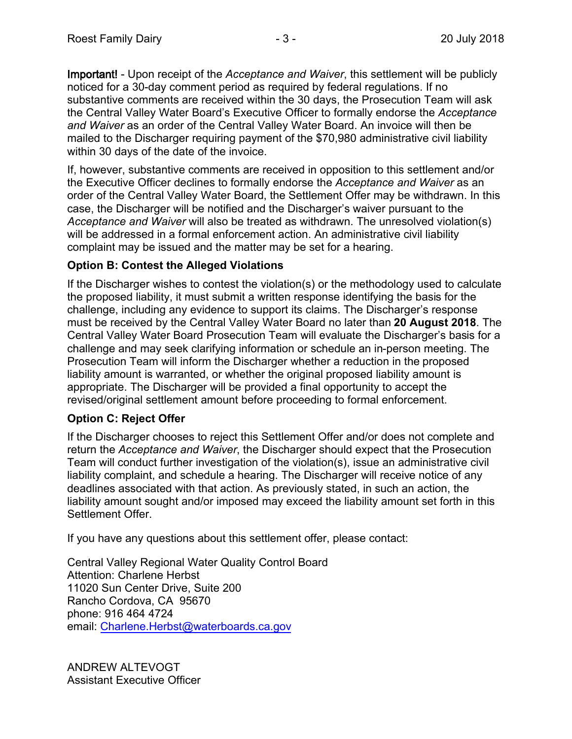Important! - Upon receipt of the *Acceptance and Waiver*, this settlement will be publicly noticed for a 30-day comment period as required by federal regulations. If no substantive comments are received within the 30 days, the Prosecution Team will ask the Central Valley Water Board's Executive Officer to formally endorse the *Acceptance and Waiver* as an order of the Central Valley Water Board. An invoice will then be mailed to the Discharger requiring payment of the \$70,980 administrative civil liability within 30 days of the date of the invoice.

If, however, substantive comments are received in opposition to this settlement and/or the Executive Officer declines to formally endorse the *Acceptance and Waiver* as an order of the Central Valley Water Board, the Settlement Offer may be withdrawn. In this case, the Discharger will be notified and the Discharger's waiver pursuant to the *Acceptance and Waiver* will also be treated as withdrawn. The unresolved violation(s) will be addressed in a formal enforcement action. An administrative civil liability complaint may be issued and the matter may be set for a hearing.

## **Option B: Contest the Alleged Violations**

If the Discharger wishes to contest the violation(s) or the methodology used to calculate the proposed liability, it must submit a written response identifying the basis for the challenge, including any evidence to support its claims. The Discharger's response must be received by the Central Valley Water Board no later than **20 August 2018**. The Central Valley Water Board Prosecution Team will evaluate the Discharger's basis for a challenge and may seek clarifying information or schedule an in-person meeting. The Prosecution Team will inform the Discharger whether a reduction in the proposed liability amount is warranted, or whether the original proposed liability amount is appropriate. The Discharger will be provided a final opportunity to accept the revised/original settlement amount before proceeding to formal enforcement.

## **Option C: Reject Offer**

If the Discharger chooses to reject this Settlement Offer and/or does not complete and return the *Acceptance and Waiver*, the Discharger should expect that the Prosecution Team will conduct further investigation of the violation(s), issue an administrative civil liability complaint, and schedule a hearing. The Discharger will receive notice of any deadlines associated with that action. As previously stated, in such an action, the liability amount sought and/or imposed may exceed the liability amount set forth in this Settlement Offer.

If you have any questions about this settlement offer, please contact:

Central Valley Regional Water Quality Control Board Attention: Charlene Herbst 11020 Sun Center Drive, Suite 200 Rancho Cordova, CA 95670 phone: 916 464 4724 email: [Charlene.Herbst@waterboards.ca.gov](mailto:Charlene.Herbst@waterboards.ca.govp?subject=email%20address%20for%20Charlene%20Herbst,%20Central%20Valley%20Water%20Board%20contact)

ANDREW ALTEVOGT Assistant Executive Officer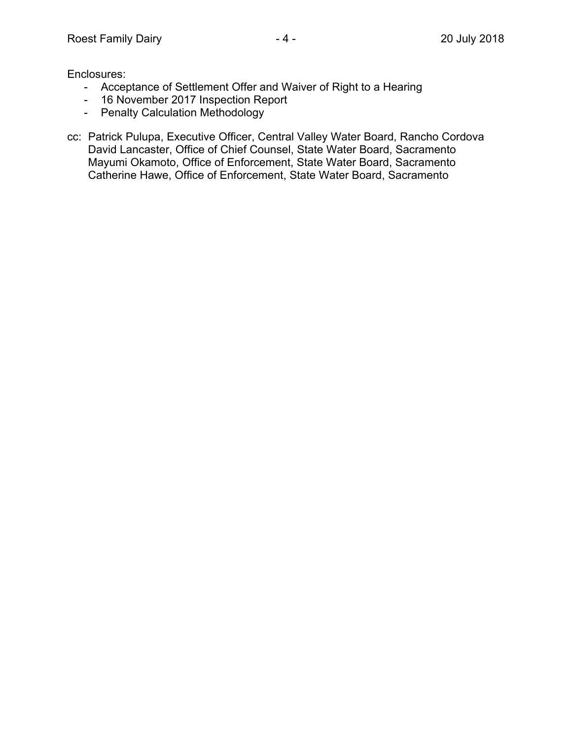Enclosures:

- Acceptance of Settlement Offer and Waiver of Right to a Hearing
- 16 November 2017 Inspection Report
- Penalty Calculation Methodology
- cc: Patrick Pulupa, Executive Officer, Central Valley Water Board, Rancho Cordova David Lancaster, Office of Chief Counsel, State Water Board, Sacramento Mayumi Okamoto, Office of Enforcement, State Water Board, Sacramento Catherine Hawe, Office of Enforcement, State Water Board, Sacramento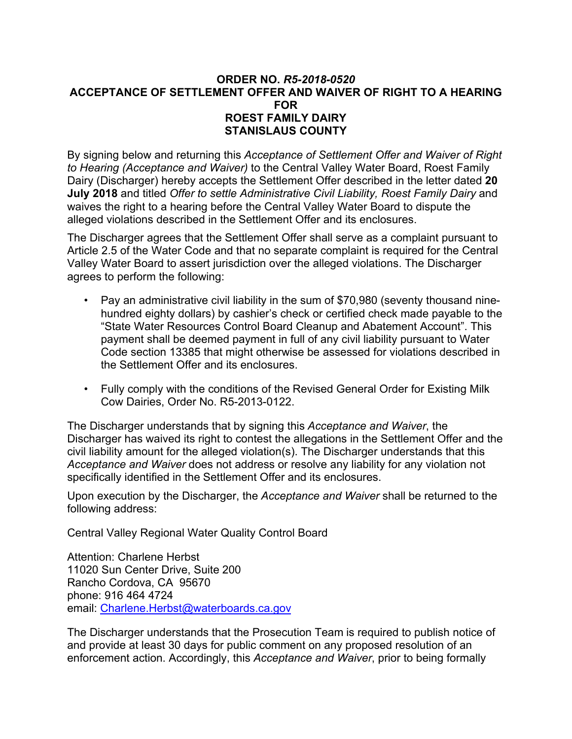### **ORDER NO.** *R5-2018-0520* **ACCEPTANCE OF SETTLEMENT OFFER AND WAIVER OF RIGHT TO A HEARING FOR ROEST FAMILY DAIRY STANISLAUS COUNTY**

By signing below and returning this *Acceptance of Settlement Offer and Waiver of Right to Hearing (Acceptance and Waiver)* to the Central Valley Water Board, Roest Family Dairy (Discharger) hereby accepts the Settlement Offer described in the letter dated **20 July 2018** and titled *Offer to settle Administrative Civil Liability, Roest Family Dairy* and waives the right to a hearing before the Central Valley Water Board to dispute the alleged violations described in the Settlement Offer and its enclosures.

The Discharger agrees that the Settlement Offer shall serve as a complaint pursuant to Article 2.5 of the Water Code and that no separate complaint is required for the Central Valley Water Board to assert jurisdiction over the alleged violations. The Discharger agrees to perform the following:

- Pay an administrative civil liability in the sum of \$70,980 (seventy thousand ninehundred eighty dollars) by cashier's check or certified check made payable to the "State Water Resources Control Board Cleanup and Abatement Account". This payment shall be deemed payment in full of any civil liability pursuant to Water Code section 13385 that might otherwise be assessed for violations described in the Settlement Offer and its enclosures.
- Fully comply with the conditions of the Revised General Order for Existing Milk Cow Dairies, Order No. R5-2013-0122.

The Discharger understands that by signing this *Acceptance and Waiver*, the Discharger has waived its right to contest the allegations in the Settlement Offer and the civil liability amount for the alleged violation(s). The Discharger understands that this *Acceptance and Waiver* does not address or resolve any liability for any violation not specifically identified in the Settlement Offer and its enclosures.

Upon execution by the Discharger, the *Acceptance and Waiver* shall be returned to the following address:

Central Valley Regional Water Quality Control Board

Attention: Charlene Herbst 11020 Sun Center Drive, Suite 200 Rancho Cordova, CA 95670 phone: 916 464 4724 email: [Charlene.Herbst@waterboards.ca.gov](mailto:Charlene.Herbst@waterboards.ca.govp?subject=email%20address%20for%20Charlene%20Herbst,%20Central%20Valley%20Water%20Board%20contact)

The Discharger understands that the Prosecution Team is required to publish notice of and provide at least 30 days for public comment on any proposed resolution of an enforcement action. Accordingly, this *Acceptance and Waiver*, prior to being formally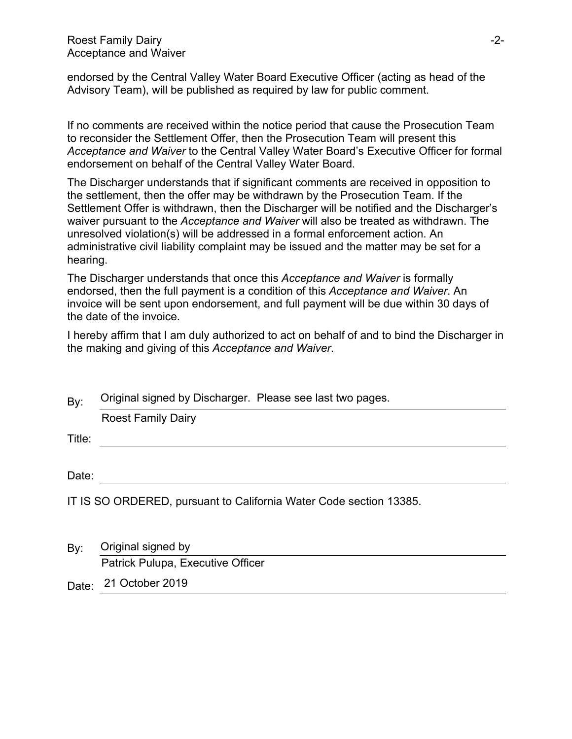endorsed by the Central Valley Water Board Executive Officer (acting as head of the Advisory Team), will be published as required by law for public comment.

If no comments are received within the notice period that cause the Prosecution Team to reconsider the Settlement Offer, then the Prosecution Team will present this *Acceptance and Waiver* to the Central Valley Water Board's Executive Officer for formal endorsement on behalf of the Central Valley Water Board.

The Discharger understands that if significant comments are received in opposition to the settlement, then the offer may be withdrawn by the Prosecution Team. If the Settlement Offer is withdrawn, then the Discharger will be notified and the Discharger's waiver pursuant to the *Acceptance and Waiver* will also be treated as withdrawn. The unresolved violation(s) will be addressed in a formal enforcement action. An administrative civil liability complaint may be issued and the matter may be set for a hearing.

The Discharger understands that once this *Acceptance and Waiver* is formally endorsed, then the full payment is a condition of this *Acceptance and Waiver*. An invoice will be sent upon endorsement, and full payment will be due within 30 days of the date of the invoice.

I hereby affirm that I am duly authorized to act on behalf of and to bind the Discharger in the making and giving of this *Acceptance and Waiver*.

| By:    | Original signed by Discharger. Please see last two pages.          |  |  |  |
|--------|--------------------------------------------------------------------|--|--|--|
|        | <b>Roest Family Dairy</b>                                          |  |  |  |
| Title: |                                                                    |  |  |  |
|        |                                                                    |  |  |  |
| Date:  |                                                                    |  |  |  |
|        | IT IS SO ORDERED, pursuant to California Water Code section 13385. |  |  |  |
| By:    | Original signed by                                                 |  |  |  |
|        | Patrick Pulupa, Executive Officer                                  |  |  |  |

Date: 21 October 2019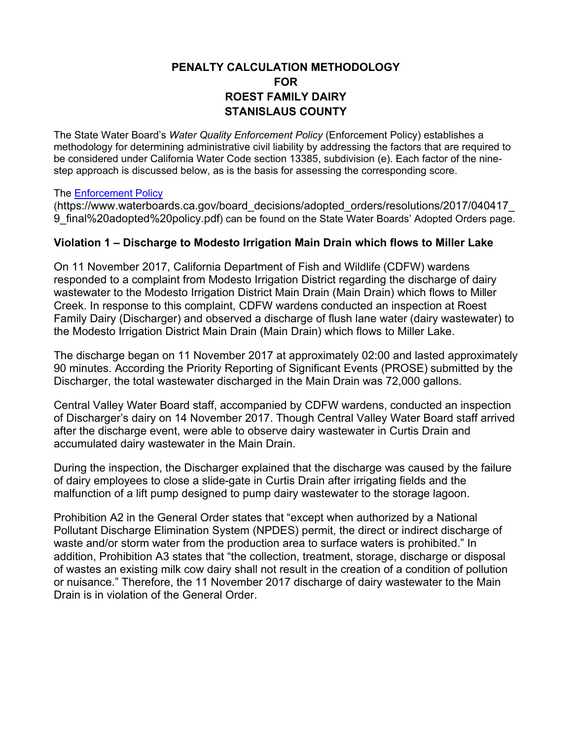### **PENALTY CALCULATION METHODOLOGY FOR ROEST FAMILY DAIRY STANISLAUS COUNTY**

The State Water Board's *Water Quality Enforcement Policy* (Enforcement Policy) establishes a methodology for determining administrative civil liability by addressing the factors that are required to be considered under California Water Code section 13385, subdivision (e). Each factor of the ninestep approach is discussed below, as is the basis for assessing the corresponding score.

#### The [Enforcement Policy](https://www.waterboards.ca.gov/board_decisions/adopted_orders/resolutions/2017/040417_9_final adopted policy.pdf)

(https://www.waterboards.ca.gov/board\_decisions/adopted\_orders/resolutions/2017/040417\_ 9\_final%20adopted%20policy.pdf) can be found on the State Water Boards' Adopted Orders page.

### **Violation 1 – Discharge to Modesto Irrigation Main Drain which flows to Miller Lake**

On 11 November 2017, California Department of Fish and Wildlife (CDFW) wardens responded to a complaint from Modesto Irrigation District regarding the discharge of dairy wastewater to the Modesto Irrigation District Main Drain (Main Drain) which flows to Miller Creek. In response to this complaint, CDFW wardens conducted an inspection at Roest Family Dairy (Discharger) and observed a discharge of flush lane water (dairy wastewater) to the Modesto Irrigation District Main Drain (Main Drain) which flows to Miller Lake.

The discharge began on 11 November 2017 at approximately 02:00 and lasted approximately 90 minutes. According the Priority Reporting of Significant Events (PROSE) submitted by the Discharger, the total wastewater discharged in the Main Drain was 72,000 gallons.

Central Valley Water Board staff, accompanied by CDFW wardens, conducted an inspection of Discharger's dairy on 14 November 2017. Though Central Valley Water Board staff arrived after the discharge event, were able to observe dairy wastewater in Curtis Drain and accumulated dairy wastewater in the Main Drain.

During the inspection, the Discharger explained that the discharge was caused by the failure of dairy employees to close a slide-gate in Curtis Drain after irrigating fields and the malfunction of a lift pump designed to pump dairy wastewater to the storage lagoon.

Prohibition A2 in the General Order states that "except when authorized by a National Pollutant Discharge Elimination System (NPDES) permit, the direct or indirect discharge of waste and/or storm water from the production area to surface waters is prohibited." In addition, Prohibition A3 states that "the collection, treatment, storage, discharge or disposal of wastes an existing milk cow dairy shall not result in the creation of a condition of pollution or nuisance." Therefore, the 11 November 2017 discharge of dairy wastewater to the Main Drain is in violation of the General Order.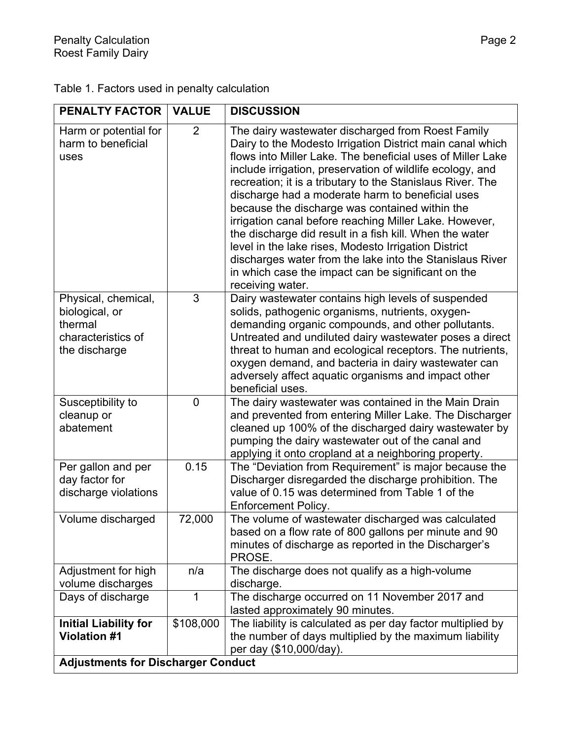| Table 1. Factors used in penalty calculation |  |
|----------------------------------------------|--|
|----------------------------------------------|--|

| <b>PENALTY FACTOR</b>                                                                   | <b>VALUE</b>   | <b>DISCUSSION</b>                                                                                                                                                                                                                                                                                                                                                                                                                                                                                                                                                                                                                                                                                                                |  |
|-----------------------------------------------------------------------------------------|----------------|----------------------------------------------------------------------------------------------------------------------------------------------------------------------------------------------------------------------------------------------------------------------------------------------------------------------------------------------------------------------------------------------------------------------------------------------------------------------------------------------------------------------------------------------------------------------------------------------------------------------------------------------------------------------------------------------------------------------------------|--|
| Harm or potential for<br>harm to beneficial<br>uses                                     | 2              | The dairy wastewater discharged from Roest Family<br>Dairy to the Modesto Irrigation District main canal which<br>flows into Miller Lake. The beneficial uses of Miller Lake<br>include irrigation, preservation of wildlife ecology, and<br>recreation; it is a tributary to the Stanislaus River. The<br>discharge had a moderate harm to beneficial uses<br>because the discharge was contained within the<br>irrigation canal before reaching Miller Lake. However,<br>the discharge did result in a fish kill. When the water<br>level in the lake rises, Modesto Irrigation District<br>discharges water from the lake into the Stanislaus River<br>in which case the impact can be significant on the<br>receiving water. |  |
| Physical, chemical,<br>biological, or<br>thermal<br>characteristics of<br>the discharge | 3              | Dairy wastewater contains high levels of suspended<br>solids, pathogenic organisms, nutrients, oxygen-<br>demanding organic compounds, and other pollutants.<br>Untreated and undiluted dairy wastewater poses a direct<br>threat to human and ecological receptors. The nutrients,<br>oxygen demand, and bacteria in dairy wastewater can<br>adversely affect aquatic organisms and impact other<br>beneficial uses.                                                                                                                                                                                                                                                                                                            |  |
| Susceptibility to<br>cleanup or<br>abatement                                            | $\overline{0}$ | The dairy wastewater was contained in the Main Drain<br>and prevented from entering Miller Lake. The Discharger<br>cleaned up 100% of the discharged dairy wastewater by<br>pumping the dairy wastewater out of the canal and<br>applying it onto cropland at a neighboring property.                                                                                                                                                                                                                                                                                                                                                                                                                                            |  |
| Per gallon and per<br>day factor for<br>discharge violations                            | 0.15           | The "Deviation from Requirement" is major because the<br>Discharger disregarded the discharge prohibition. The<br>value of 0.15 was determined from Table 1 of the<br>Enforcement Policy.                                                                                                                                                                                                                                                                                                                                                                                                                                                                                                                                        |  |
| Volume discharged                                                                       | 72,000         | The volume of wastewater discharged was calculated<br>based on a flow rate of 800 gallons per minute and 90<br>minutes of discharge as reported in the Discharger's<br>PROSE.                                                                                                                                                                                                                                                                                                                                                                                                                                                                                                                                                    |  |
| Adjustment for high<br>volume discharges                                                | n/a            | The discharge does not qualify as a high-volume<br>discharge.                                                                                                                                                                                                                                                                                                                                                                                                                                                                                                                                                                                                                                                                    |  |
| Days of discharge                                                                       | 1              | The discharge occurred on 11 November 2017 and<br>lasted approximately 90 minutes.                                                                                                                                                                                                                                                                                                                                                                                                                                                                                                                                                                                                                                               |  |
| <b>Initial Liability for</b><br><b>Violation #1</b>                                     | \$108,000      | The liability is calculated as per day factor multiplied by<br>the number of days multiplied by the maximum liability<br>per day (\$10,000/day).                                                                                                                                                                                                                                                                                                                                                                                                                                                                                                                                                                                 |  |
| <b>Adjustments for Discharger Conduct</b>                                               |                |                                                                                                                                                                                                                                                                                                                                                                                                                                                                                                                                                                                                                                                                                                                                  |  |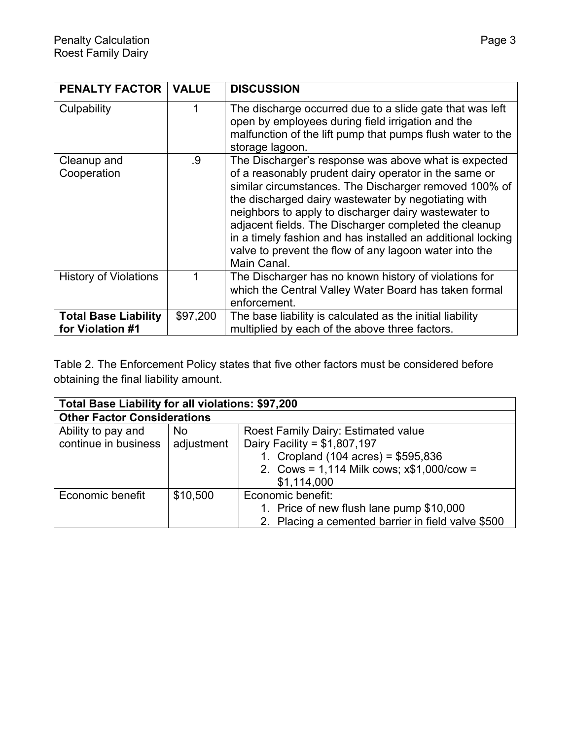| <b>PENALTY FACTOR</b>                           | <b>VALUE</b> | <b>DISCUSSION</b>                                                                                                                                                                                                                                                                                                                                                                                                                                                                      |
|-------------------------------------------------|--------------|----------------------------------------------------------------------------------------------------------------------------------------------------------------------------------------------------------------------------------------------------------------------------------------------------------------------------------------------------------------------------------------------------------------------------------------------------------------------------------------|
| Culpability                                     |              | The discharge occurred due to a slide gate that was left<br>open by employees during field irrigation and the<br>malfunction of the lift pump that pumps flush water to the<br>storage lagoon.                                                                                                                                                                                                                                                                                         |
| Cleanup and<br>Cooperation                      | .9           | The Discharger's response was above what is expected<br>of a reasonably prudent dairy operator in the same or<br>similar circumstances. The Discharger removed 100% of<br>the discharged dairy wastewater by negotiating with<br>neighbors to apply to discharger dairy wastewater to<br>adjacent fields. The Discharger completed the cleanup<br>in a timely fashion and has installed an additional locking<br>valve to prevent the flow of any lagoon water into the<br>Main Canal. |
| <b>History of Violations</b>                    |              | The Discharger has no known history of violations for<br>which the Central Valley Water Board has taken formal<br>enforcement.                                                                                                                                                                                                                                                                                                                                                         |
| <b>Total Base Liability</b><br>for Violation #1 | \$97,200     | The base liability is calculated as the initial liability<br>multiplied by each of the above three factors.                                                                                                                                                                                                                                                                                                                                                                            |

Table 2. The Enforcement Policy states that five other factors must be considered before obtaining the final liability amount.

| Total Base Liability for all violations: \$97,200 |            |                                                    |  |
|---------------------------------------------------|------------|----------------------------------------------------|--|
| <b>Other Factor Considerations</b>                |            |                                                    |  |
| Ability to pay and                                | <b>No</b>  | Roest Family Dairy: Estimated value                |  |
| continue in business                              | adjustment | Dairy Facility = $$1,807,197$                      |  |
|                                                   |            | 1. Cropland $(104 \text{ acres}) = $595,836$       |  |
|                                                   |            | 2. Cows = 1,114 Milk cows; $x$1,000/cow =$         |  |
|                                                   |            | \$1,114,000                                        |  |
| Economic benefit                                  | \$10,500   | Economic benefit:                                  |  |
|                                                   |            | 1. Price of new flush lane pump \$10,000           |  |
|                                                   |            | 2. Placing a cemented barrier in field valve \$500 |  |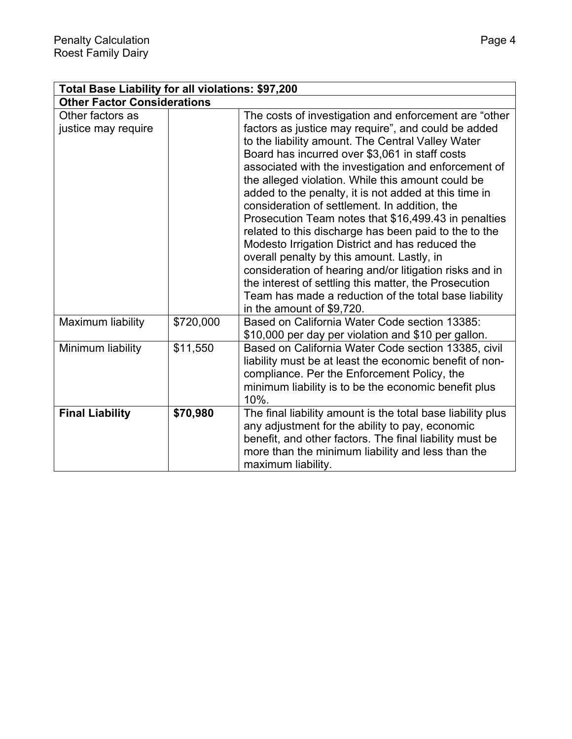| Total Base Liability for all violations: \$97,200 |           |                                                                                                                                                                                                                                                                                                                                                                                                                                                                                                                                                                                                                                                                                                                                                                                                                                                                        |  |
|---------------------------------------------------|-----------|------------------------------------------------------------------------------------------------------------------------------------------------------------------------------------------------------------------------------------------------------------------------------------------------------------------------------------------------------------------------------------------------------------------------------------------------------------------------------------------------------------------------------------------------------------------------------------------------------------------------------------------------------------------------------------------------------------------------------------------------------------------------------------------------------------------------------------------------------------------------|--|
| <b>Other Factor Considerations</b>                |           |                                                                                                                                                                                                                                                                                                                                                                                                                                                                                                                                                                                                                                                                                                                                                                                                                                                                        |  |
| Other factors as<br>justice may require           |           | The costs of investigation and enforcement are "other<br>factors as justice may require", and could be added<br>to the liability amount. The Central Valley Water<br>Board has incurred over \$3,061 in staff costs<br>associated with the investigation and enforcement of<br>the alleged violation. While this amount could be<br>added to the penalty, it is not added at this time in<br>consideration of settlement. In addition, the<br>Prosecution Team notes that \$16,499.43 in penalties<br>related to this discharge has been paid to the to the<br>Modesto Irrigation District and has reduced the<br>overall penalty by this amount. Lastly, in<br>consideration of hearing and/or litigation risks and in<br>the interest of settling this matter, the Prosecution<br>Team has made a reduction of the total base liability<br>in the amount of \$9,720. |  |
| Maximum liability                                 | \$720,000 | Based on California Water Code section 13385:<br>\$10,000 per day per violation and \$10 per gallon.                                                                                                                                                                                                                                                                                                                                                                                                                                                                                                                                                                                                                                                                                                                                                                   |  |
| Minimum liability                                 | \$11,550  | Based on California Water Code section 13385, civil<br>liability must be at least the economic benefit of non-<br>compliance. Per the Enforcement Policy, the<br>minimum liability is to be the economic benefit plus<br>10%.                                                                                                                                                                                                                                                                                                                                                                                                                                                                                                                                                                                                                                          |  |
| <b>Final Liability</b>                            | \$70,980  | The final liability amount is the total base liability plus<br>any adjustment for the ability to pay, economic<br>benefit, and other factors. The final liability must be<br>more than the minimum liability and less than the<br>maximum liability.                                                                                                                                                                                                                                                                                                                                                                                                                                                                                                                                                                                                                   |  |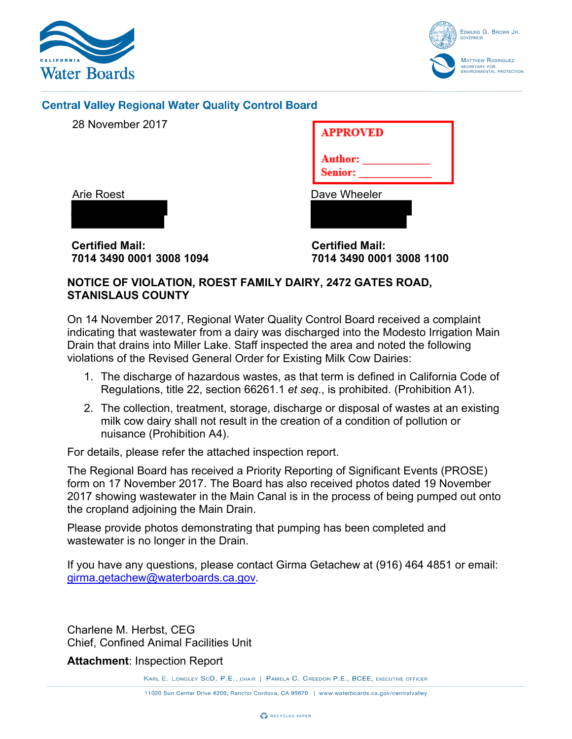



### **Central Valley Regional Water Quality Control Board**

28 November 2017

| <b>APPROVED</b>                  |  |
|----------------------------------|--|
| <b>Author:</b><br><b>Senior:</b> |  |
| Dave Wheeler                     |  |

Arie Roest

**Certified Mail: 7014 3490 0001 3008 1094** **Certified Mail: 7014 3490 0001 3008 1100**

### **NOTICE OF VIOLATION, ROEST FAMILY DAIRY, 2472 GATES ROAD, STANISLAUS COUNTY**

On 14 November 2017, Regional Water Quality Control Board received a complaint indicating that wastewater from a dairy was discharged into the Modesto Irrigation Main Drain that drains into Miller Lake. Staff inspected the area and noted the following violations of the Revised General Order for Existing Milk Cow Dairies:

- 1. The discharge of hazardous wastes, as that term is defined in California Code of Regulations, title 22, section 66261.1 *et seq.*, is prohibited. (Prohibition A1).
- 2. The collection, treatment, storage, discharge or disposal of wastes at an existing milk cow dairy shall not result in the creation of a condition of pollution or nuisance (Prohibition A4).

For details, please refer the attached inspection report.

The Regional Board has received a Priority Reporting of Significant Events (PROSE) form on 17 November 2017. The Board has also received photos dated 19 November 2017 showing wastewater in the Main Canal is in the process of being pumped out onto the cropland adjoining the Main Drain.

Please provide photos demonstrating that pumping has been completed and wastewater is no longer in the Drain.

If you have any questions, please contact Girma Getachew at (916) 464 4851 or email: [girma.getachew@waterboards.ca.gov.](mailto:girma.getachew@waterboards.ca.gov)

Charlene M. Herbst, CEG Chief, Confined Animal Facilities Unit

**Attachment**: Inspection Report

KARL E. LONGLEY SCD, P.E., CHAIR | PAMELA C. CREEDON P.E., BCEE, EXECUTIVE OFFICER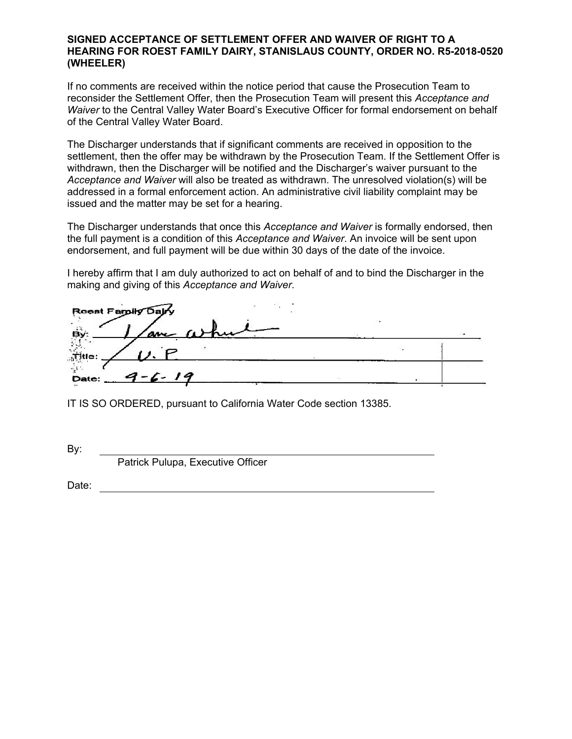#### **SIGNED ACCEPTANCE OF SETTLEMENT OFFER AND WAIVER OF RIGHT TO A HEARING FOR ROEST FAMILY DAIRY, STANISLAUS COUNTY, ORDER NO. R5-2018-0520 (WHEELER)**

If no comments are received within the notice period that cause the Prosecution Team to reconsider the Settlement Offer, then the Prosecution Team will present this *Acceptance and Waiver* to the Central Valley Water Board's Executive Officer for formal endorsement on behalf of the Central Valley Water Board.

The Discharger understands that if significant comments are received in opposition to the settlement, then the offer may be withdrawn by the Prosecution Team. If the Settlement Offer is withdrawn, then the Discharger will be notified and the Discharger's waiver pursuant to the *Acceptance and Waiver* will also be treated as withdrawn. The unresolved violation(s) will be addressed in a formal enforcement action. An administrative civil liability complaint may be issued and the matter may be set for a hearing.

The Discharger understands that once this *Acceptance and Waiver* is formally endorsed, then the full payment is a condition of this *Acceptance and Waiver*. An invoice will be sent upon endorsement, and full payment will be due within 30 days of the date of the invoice.

I hereby affirm that I am duly authorized to act on behalf of and to bind the Discharger in the making and giving of this *Acceptance and Waiver*.

| Roest Family Dalry                    |  |  |
|---------------------------------------|--|--|
| an when<br>В٧                         |  |  |
| $\ddot{\phantom{0}}$<br><b>Title:</b> |  |  |
| $9 - 6 - 19$<br>Date:                 |  |  |

IT IS SO ORDERED, pursuant to California Water Code section 13385.

By:

Patrick Pulupa, Executive Officer

Date: